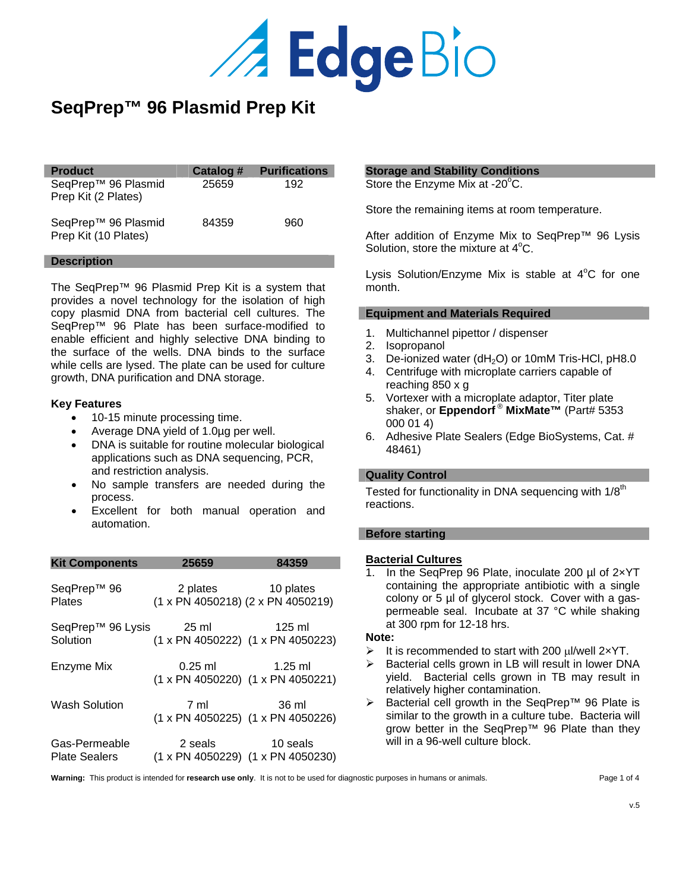

# **SeqPrep™ 96 Plasmid Prep Kit**

| <b>Product</b>                                          | Catalog # | <b>Purifications</b> |
|---------------------------------------------------------|-----------|----------------------|
| SeqPrep <sup>™</sup> 96 Plasmid<br>Prep Kit (2 Plates)  | 25659     | 192                  |
| SeqPrep <sup>™</sup> 96 Plasmid<br>Prep Kit (10 Plates) | 84359     | 960                  |

#### **Description**

I

The SeqPrep™ 96 Plasmid Prep Kit is a system that provides a novel technology for the isolation of high copy plasmid DNA from bacterial cell cultures. The SeqPrep™ 96 Plate has been surface-modified to enable efficient and highly selective DNA binding to the surface of the wells. DNA binds to the surface while cells are lysed. The plate can be used for culture growth, DNA purification and DNA storage.

#### **Key Features**

- 10-15 minute processing time.
- Average DNA yield of 1.0µg per well.
- DNA is suitable for routine molecular biological applications such as DNA sequencing, PCR, and restriction analysis.
- No sample transfers are needed during the process.
- Excellent for both manual operation and automation.

| <b>Kit Components</b>                 | 25659 | 84359                                                          |
|---------------------------------------|-------|----------------------------------------------------------------|
| SeqPrep™ 96<br>Plates                 |       | 2 plates 10 plates<br>$(1 x PN 4050218)$ $(2 x PN 4050219)$    |
| SeqPrep™ 96 Lysis 25 ml<br>Solution   |       | 125 ml<br>(1 x PN 4050222) (1 x PN 4050223)                    |
| Enzyme Mix                            |       | $0.25 \text{ ml}$ 1.25 ml<br>(1 x PN 4050220) (1 x PN 4050221) |
| Wash Solution                         | 7 ml  | 36 ml<br>(1 x PN 4050225) (1 x PN 4050226)                     |
| Gas-Permeable<br><b>Plate Sealers</b> |       | 2 seals 10 seals<br>(1 x PN 4050229) (1 x PN 4050230)          |

#### **Storage and Stability Conditions**

Store the Enzyme Mix at -20°C.

Store the remaining items at room temperature.

After addition of Enzyme Mix to SeqPrep™ 96 Lysis Solution, store the mixture at  $4^{\circ}$ C.

Lysis Solution/Enzyme Mix is stable at 4°C for one month.

#### **Equipment and Materials Required**

- 1. Multichannel pipettor / dispenser
- 2. Isopropanol
- 3. De-ionized water (dH<sub>2</sub>O) or 10mM Tris-HCl, pH8.0
- 4. Centrifuge with microplate carriers capable of reaching 850 x g
- 5. Vortexer with a microplate adaptor, Titer plate shaker, or **Eppendorf** ® **MixMate™** (Part# 5353 000 01 4)
- 6. Adhesive Plate Sealers (Edge BioSystems, Cat. # 48461)

#### **Quality Control**

Tested for functionality in DNA sequencing with 1/8<sup>th</sup> reactions.

#### **Before starting**

#### **Bacterial Cultures**

1. In the SeqPrep 96 Plate, inoculate 200 µl of 2×YT containing the appropriate antibiotic with a single colony or 5 µl of glycerol stock. Cover with a gaspermeable seal. Incubate at 37 °C while shaking at 300 rpm for 12-18 hrs.

#### **Note:**

- $\triangleright$  It is recommended to start with 200  $\mu$ I/well 2×YT.
- Bacterial cells grown in LB will result in lower DNA yield. Bacterial cells grown in TB may result in relatively higher contamination.
- ¾ Bacterial cell growth in the SeqPrep™ 96 Plate is similar to the growth in a culture tube. Bacteria will grow better in the SeqPrep™ 96 Plate than they will in a 96-well culture block.

Warning: This product is intended for **research use only**. It is not to be used for diagnostic purposes in humans or animals. Page 1 of 4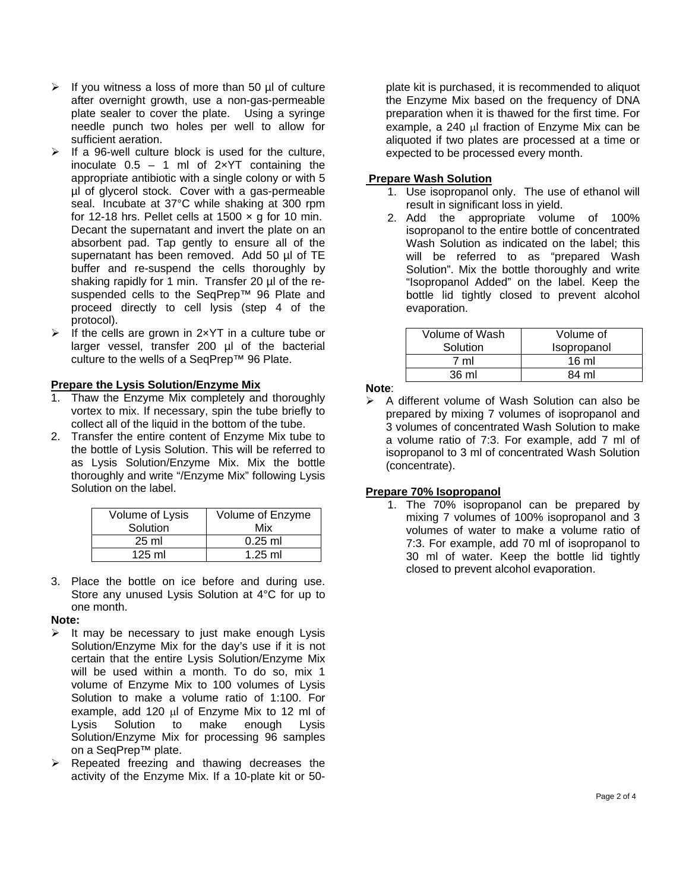- $\triangleright$  If you witness a loss of more than 50 µl of culture after overnight growth, use a non-gas-permeable plate sealer to cover the plate. Using a syringe needle punch two holes per well to allow for sufficient aeration.
- $\triangleright$  If a 96-well culture block is used for the culture, inoculate  $0.5 - 1$  ml of  $2 \times YT$  containing the appropriate antibiotic with a single colony or with 5 µl of glycerol stock. Cover with a gas-permeable seal. Incubate at 37°C while shaking at 300 rpm for 12-18 hrs. Pellet cells at 1500  $\times$  g for 10 min. Decant the supernatant and invert the plate on an absorbent pad. Tap gently to ensure all of the supernatant has been removed. Add 50 µl of TE buffer and re-suspend the cells thoroughly by shaking rapidly for 1 min. Transfer 20 µl of the resuspended cells to the SeqPrep™ 96 Plate and proceed directly to cell lysis (step 4 of the protocol).
- $\triangleright$  If the cells are grown in 2xYT in a culture tube or larger vessel, transfer 200 µl of the bacterial culture to the wells of a SeqPrep™ 96 Plate.

# **Prepare the Lysis Solution/Enzyme Mix**

- 1. Thaw the Enzyme Mix completely and thoroughly vortex to mix. If necessary, spin the tube briefly to collect all of the liquid in the bottom of the tube.
- 2. Transfer the entire content of Enzyme Mix tube to the bottle of Lysis Solution. This will be referred to as Lysis Solution/Enzyme Mix. Mix the bottle thoroughly and write "/Enzyme Mix" following Lysis Solution on the label.

| Volume of Lysis | Volume of Enzyme |
|-----------------|------------------|
| Solution        | Mix              |
| $25 \text{ ml}$ | $0.25$ ml        |
| $125$ ml        | $1.25$ ml        |

3. Place the bottle on ice before and during use. Store any unused Lysis Solution at 4°C for up to one month.

## **Note:**

- $\triangleright$  It may be necessary to just make enough Lysis Solution/Enzyme Mix for the day's use if it is not certain that the entire Lysis Solution/Enzyme Mix will be used within a month. To do so, mix 1 volume of Enzyme Mix to 100 volumes of Lysis Solution to make a volume ratio of 1:100. For example, add 120 µl of Enzyme Mix to 12 ml of Lysis Solution to make enough Lysis Solution/Enzyme Mix for processing 96 samples on a SeqPrep™ plate.
- $\triangleright$  Repeated freezing and thawing decreases the activity of the Enzyme Mix. If a 10-plate kit or 50-

plate kit is purchased, it is recommended to aliquot the Enzyme Mix based on the frequency of DNA preparation when it is thawed for the first time. For example, a 240 µl fraction of Enzyme Mix can be aliquoted if two plates are processed at a time or expected to be processed every month.

# **Prepare Wash Solution**

- 1. Use isopropanol only. The use of ethanol will result in significant loss in yield.
- 2. Add the appropriate volume of 100% isopropanol to the entire bottle of concentrated Wash Solution as indicated on the label; this will be referred to as "prepared Wash Solution". Mix the bottle thoroughly and write "Isopropanol Added" on the label. Keep the bottle lid tightly closed to prevent alcohol evaporation.

| Volume of Wash<br>Solution | Volume of<br>Isopropanol |
|----------------------------|--------------------------|
| 7 ml                       | $16 \text{ ml}$          |
| 36 ml                      | 84 ml                    |

**Note**:

¾ A different volume of Wash Solution can also be prepared by mixing 7 volumes of isopropanol and 3 volumes of concentrated Wash Solution to make a volume ratio of 7:3. For example, add 7 ml of isopropanol to 3 ml of concentrated Wash Solution (concentrate).

## **Prepare 70% Isopropanol**

 1. The 70% isopropanol can be prepared by mixing 7 volumes of 100% isopropanol and 3 volumes of water to make a volume ratio of 7:3. For example, add 70 ml of isopropanol to 30 ml of water. Keep the bottle lid tightly closed to prevent alcohol evaporation.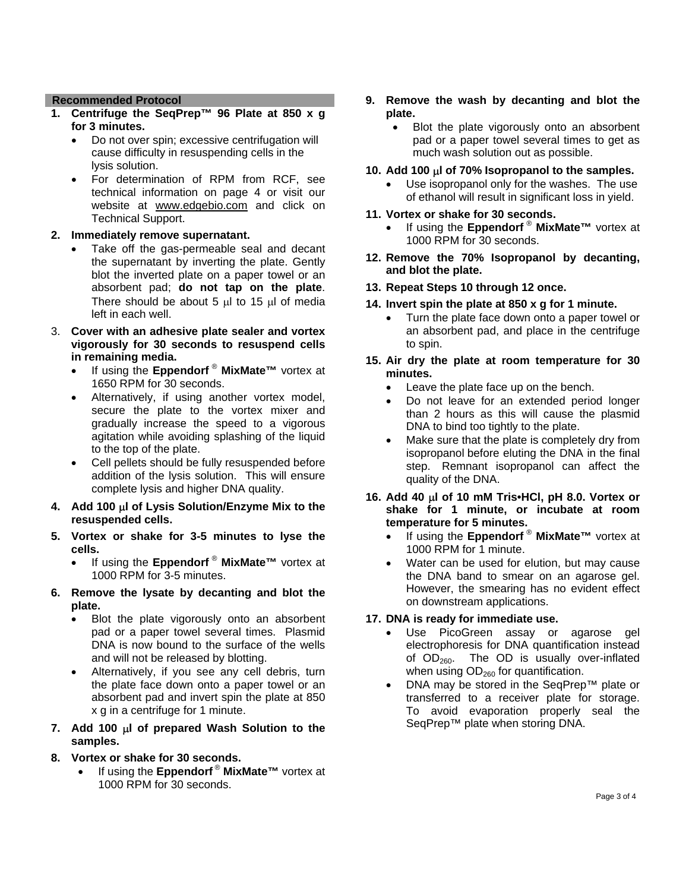## **Recommended Protocol**

- **1. Centrifuge the SeqPrep™ 96 Plate at 850 x g for 3 minutes.** 
	- Do not over spin; excessive centrifugation will cause difficulty in resuspending cells in the lysis solution.
	- For determination of RPM from RCF, see technical information on page 4 or visit our website at www.edgebio.com and click on Technical Support.

## **2. Immediately remove supernatant.**

- Take off the gas-permeable seal and decant the supernatant by inverting the plate. Gently blot the inverted plate on a paper towel or an absorbent pad; **do not tap on the plate**. There should be about  $5 \mu l$  to 15  $\mu l$  of media left in each well.
- 3. **Cover with an adhesive plate sealer and vortex vigorously for 30 seconds to resuspend cells in remaining media.** 
	- If using the **Eppendorf** ® **MixMate™** vortex at 1650 RPM for 30 seconds.
	- Alternatively, if using another vortex model, secure the plate to the vortex mixer and gradually increase the speed to a vigorous agitation while avoiding splashing of the liquid to the top of the plate.
	- Cell pellets should be fully resuspended before addition of the lysis solution. This will ensure complete lysis and higher DNA quality.
- **4. Add 100** µ**l of Lysis Solution/Enzyme Mix to the resuspended cells.**
- **5. Vortex or shake for 3-5 minutes to lyse the cells.** 
	- If using the **Eppendorf** ® **MixMate™** vortex at 1000 RPM for 3-5 minutes.
- **6. Remove the lysate by decanting and blot the plate.** 
	- Blot the plate vigorously onto an absorbent pad or a paper towel several times.Plasmid DNA is now bound to the surface of the wells and will not be released by blotting.
	- Alternatively, if you see any cell debris, turn the plate face down onto a paper towel or an absorbent pad and invert spin the plate at 850 x g in a centrifuge for 1 minute.
- **7. Add 100** µ**l of prepared Wash Solution to the samples.**
- **8. Vortex or shake for 30 seconds.** 
	- If using the **Eppendorf** ® **MixMate™** vortex at 1000 RPM for 30 seconds.
- **9. Remove the wash by decanting and blot the plate.** 
	- Blot the plate vigorously onto an absorbent pad or a paper towel several times to get as much wash solution out as possible.
- **10. Add 100** µ**l of 70% Isopropanol to the samples.** 
	- Use isopropanol only for the washes. The use of ethanol will result in significant loss in yield.
- **11. Vortex or shake for 30 seconds.** 
	- If using the **Eppendorf** ® **MixMate™** vortex at 1000 RPM for 30 seconds.
- **12. Remove the 70% Isopropanol by decanting, and blot the plate.**
- **13. Repeat Steps 10 through 12 once.**
- **14. Invert spin the plate at 850 x g for 1 minute.** 
	- Turn the plate face down onto a paper towel or an absorbent pad, and place in the centrifuge to spin.
- **15. Air dry the plate at room temperature for 30 minutes.** 
	- Leave the plate face up on the bench.
	- Do not leave for an extended period longer than 2 hours as this will cause the plasmid DNA to bind too tightly to the plate.
	- Make sure that the plate is completely dry from isopropanol before eluting the DNA in the final step. Remnant isopropanol can affect the quality of the DNA.
- **16. Add 40** µ**l of 10 mM Tris•HCl, pH 8.0. Vortex or shake for 1 minute, or incubate at room temperature for 5 minutes.** 
	- If using the **Eppendorf** ® **MixMate™** vortex at 1000 RPM for 1 minute.
	- Water can be used for elution, but may cause the DNA band to smear on an agarose gel. However, the smearing has no evident effect on downstream applications.

## **17. DNA is ready for immediate use.**

- Use PicoGreen assay or agarose gel electrophoresis for DNA quantification instead of  $OD<sub>260</sub>$ . The OD is usually over-inflated when using  $OD<sub>260</sub>$  for quantification.
- DNA may be stored in the SeqPrep™ plate or transferred to a receiver plate for storage. To avoid evaporation properly seal the SeqPrep™ plate when storing DNA.